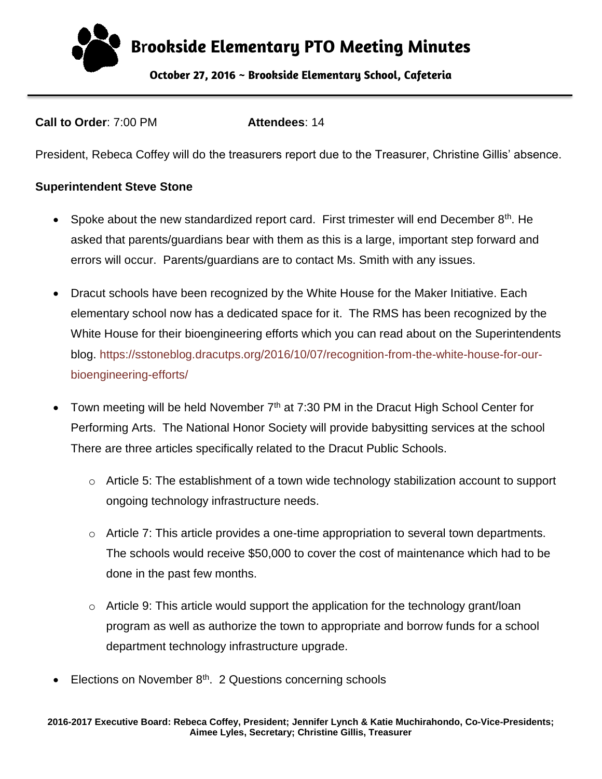**B**r**ookside Elementary PTO Meeting Minutes October 27, 2016 ~ Brookside Elementary School, Cafeteria** 

**Call to Order**: 7:00 PM **Attendees**: 14

President, Rebeca Coffey will do the treasurers report due to the Treasurer, Christine Gillis' absence.

#### **Superintendent Steve Stone**

- Spoke about the new standardized report card. First trimester will end December 8<sup>th</sup>. He asked that parents/guardians bear with them as this is a large, important step forward and errors will occur. Parents/guardians are to contact Ms. Smith with any issues.
- Dracut schools have been recognized by the White House for the Maker Initiative. Each elementary school now has a dedicated space for it. The RMS has been recognized by the White House for their bioengineering efforts which you can read about on the Superintendents blog. [https://sstoneblog.dracutps.org/2016/10/07/recognition-from-the-white-house-for-our](https://sstoneblog.dracutps.org/2016/10/07/recognition-from-the-white-house-for-our-bioengineering-efforts/)[bioengineering-efforts/](https://sstoneblog.dracutps.org/2016/10/07/recognition-from-the-white-house-for-our-bioengineering-efforts/)
- Town meeting will be held November  $7<sup>th</sup>$  at 7:30 PM in the Dracut High School Center for Performing Arts. The National Honor Society will provide babysitting services at the school [There](http://www.dracutma.gov/sites/dracutma/files/uploads/tm_110716_warrant.pdf) are three articles specifically related to the Dracut Public Schools.
	- o Article 5: The establishment of a town wide technology stabilization account to support ongoing technology infrastructure needs.
	- $\circ$  Article 7: This article provides a one-time appropriation to several town departments. The schools would receive \$50,000 to cover the cost of maintenance which had to be done in the past few months.
	- $\circ$  Article 9: This article would support the application for the technology grant/loan program as well as authorize the town to appropriate and borrow funds for a school department technology infrastructure upgrade.
- Elections on November  $8<sup>th</sup>$ . 2 Questions concerning schools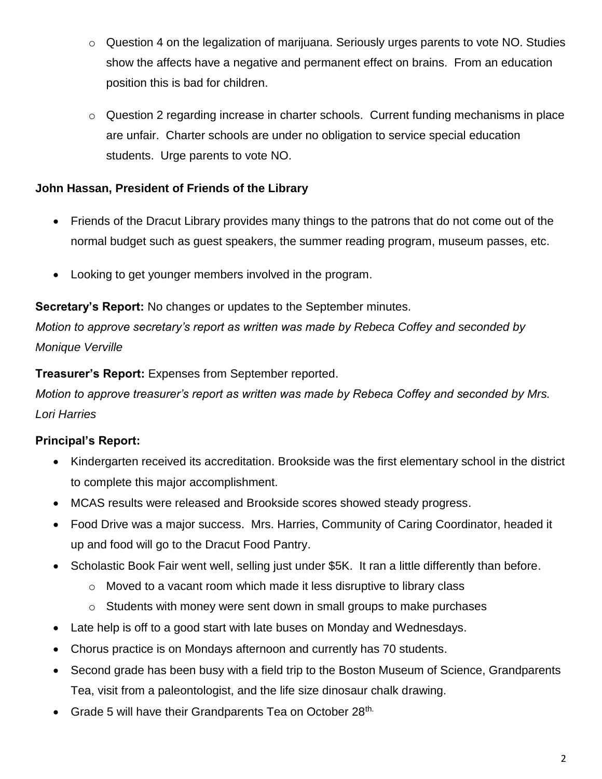- o Question 4 on the legalization of marijuana. Seriously urges parents to vote NO. Studies show the affects have a negative and permanent effect on brains. From an education position this is bad for children.
- o Question 2 regarding increase in charter schools. Current funding mechanisms in place are unfair. Charter schools are under no obligation to service special education students. Urge parents to vote NO.

## **John Hassan, President of Friends of the Library**

- Friends of the Dracut Library provides many things to the patrons that do not come out of the normal budget such as guest speakers, the summer reading program, museum passes, etc.
- Looking to get younger members involved in the program.

**Secretary's Report:** No changes or updates to the September minutes.

*Motion to approve secretary's report as written was made by Rebeca Coffey and seconded by Monique Verville*

**Treasurer's Report:** Expenses from September reported.

*Motion to approve treasurer's report as written was made by Rebeca Coffey and seconded by Mrs. Lori Harries*

## **Principal's Report:**

- Kindergarten received its accreditation. Brookside was the first elementary school in the district to complete this major accomplishment.
- MCAS results were released and Brookside scores showed steady progress.
- Food Drive was a major success. Mrs. Harries, Community of Caring Coordinator, headed it up and food will go to the Dracut Food Pantry.
- Scholastic Book Fair went well, selling just under \$5K. It ran a little differently than before.
	- $\circ$  Moved to a vacant room which made it less disruptive to library class
	- o Students with money were sent down in small groups to make purchases
- Late help is off to a good start with late buses on Monday and Wednesdays.
- Chorus practice is on Mondays afternoon and currently has 70 students.
- Second grade has been busy with a field trip to the Boston Museum of Science, Grandparents Tea, visit from a paleontologist, and the life size dinosaur chalk drawing.
- Grade 5 will have their Grandparents Tea on October 28th.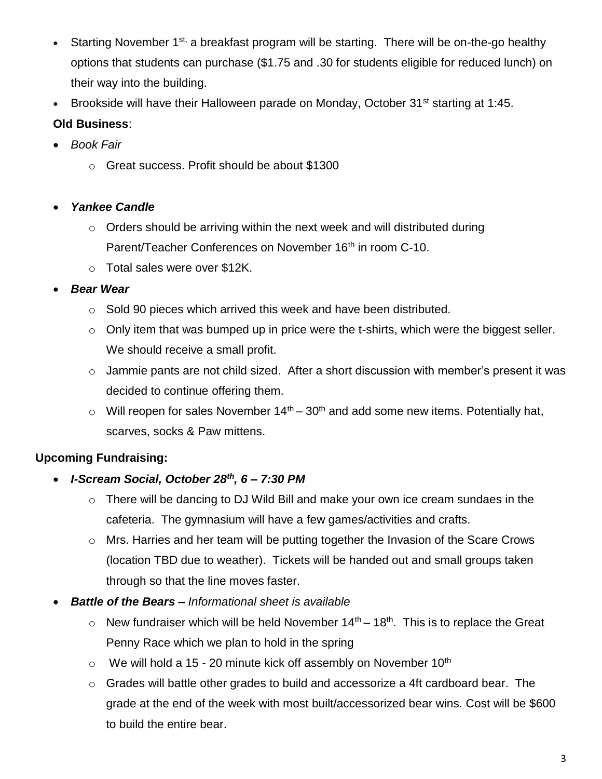- Starting November 1<sup>st,</sup> a breakfast program will be starting. There will be on-the-go healthy options that students can purchase (\$1.75 and .30 for students eligible for reduced lunch) on their way into the building.
- Brookside will have their Halloween parade on Monday, October 31<sup>st</sup> starting at 1:45.

# **Old Business**:

- *Book Fair*
	- o Great success. Profit should be about \$1300

### *Yankee Candle*

- $\circ$  Orders should be arriving within the next week and will distributed during Parent/Teacher Conferences on November 16<sup>th</sup> in room C-10.
- o Total sales were over \$12K.

### *Bear Wear*

- o Sold 90 pieces which arrived this week and have been distributed.
- $\circ$  Only item that was bumped up in price were the t-shirts, which were the biggest seller. We should receive a small profit.
- $\circ$  Jammie pants are not child sized. After a short discussion with member's present it was decided to continue offering them.
- $\circ$  Will reopen for sales November 14<sup>th</sup> 30<sup>th</sup> and add some new items. Potentially hat, scarves, socks & Paw mittens.

## **Upcoming Fundraising:**

- *I-Scream Social, October 28th, 6 – 7:30 PM*
	- o There will be dancing to DJ Wild Bill and make your own ice cream sundaes in the cafeteria. The gymnasium will have a few games/activities and crafts.
	- o Mrs. Harries and her team will be putting together the Invasion of the Scare Crows (location TBD due to weather). Tickets will be handed out and small groups taken through so that the line moves faster.
- *Battle of the Bears – Informational sheet is available*
	- $\circ$  New fundraiser which will be held November 14<sup>th</sup> 18<sup>th</sup>. This is to replace the Great Penny Race which we plan to hold in the spring
	- $\circ$  We will hold a 15 20 minute kick off assembly on November 10<sup>th</sup>
	- o Grades will battle other grades to build and accessorize a 4ft cardboard bear. The grade at the end of the week with most built/accessorized bear wins. Cost will be \$600 to build the entire bear.